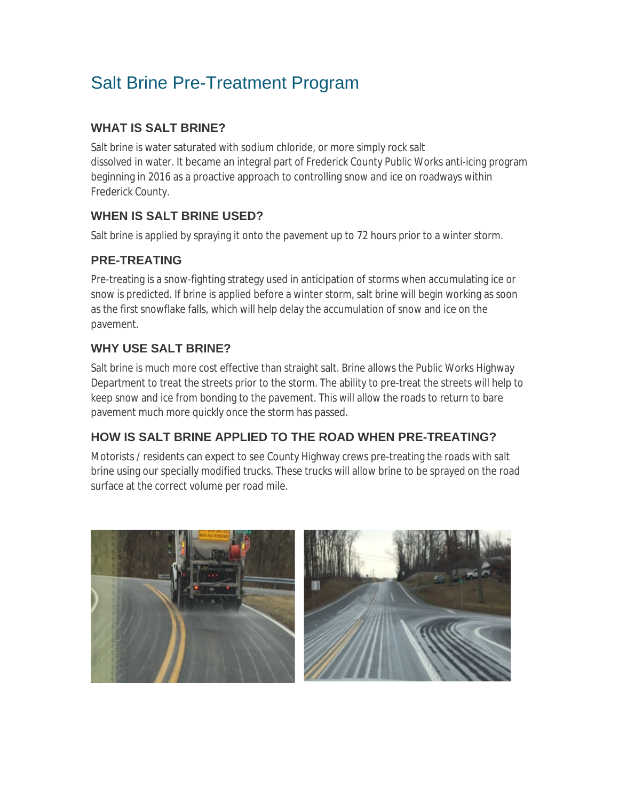# Salt Brine Pre-Treatment Program

#### **WHAT IS SALT BRINE?**

Salt brine is water saturated with sodium chloride, or more simply rock salt dissolved in water. It became an integral part of Frederick County Public Works anti-icing program beginning in 2016 as a proactive approach to controlling snow and ice on roadways within Frederick County.

### **WHEN IS SALT BRINE USED?**

Salt brine is applied by spraying it onto the pavement up to 72 hours prior to a winter storm.

## **PRE-TREATING**

Pre-treating is a snow-fighting strategy used in anticipation of storms when accumulating ice or snow is predicted. If brine is applied before a winter storm, salt brine will begin working as soon as the first snowflake falls, which will help delay the accumulation of snow and ice on the pavement.

### **WHY USE SALT BRINE?**

Salt brine is much more cost effective than straight salt. Brine allows the Public Works Highway Department to treat the streets prior to the storm. The ability to pre-treat the streets will help to keep snow and ice from bonding to the pavement. This will allow the roads to return to bare pavement much more quickly once the storm has passed.

#### **HOW IS SALT BRINE APPLIED TO THE ROAD WHEN PRE-TREATING?**

Motorists / residents can expect to see County Highway crews pre-treating the roads with salt brine using our specially modified trucks. These trucks will allow brine to be sprayed on the road surface at the correct volume per road mile.